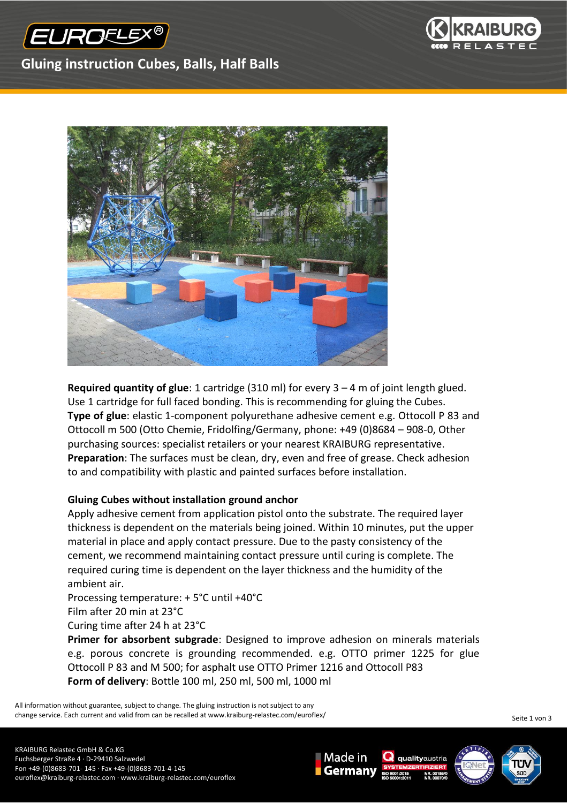



## **Gluing instruction Cubes, Balls, Half Balls**



**Required quantity of glue**: 1 cartridge (310 ml) for every 3 – 4 m of joint length glued. Use 1 cartridge for full faced bonding. This is recommending for gluing the Cubes. **Type of glue**: elastic 1-component polyurethane adhesive cement e.g. Ottocoll P 83 and Ottocoll m 500 (Otto Chemie, Fridolfing/Germany, phone: +49 (0)8684 – 908-0, Other purchasing sources: specialist retailers or your nearest KRAIBURG representative. **Preparation**: The surfaces must be clean, dry, even and free of grease. Check adhesion to and compatibility with plastic and painted surfaces before installation.

## **Gluing Cubes without installation ground anchor**

Apply adhesive cement from application pistol onto the substrate. The required layer thickness is dependent on the materials being joined. Within 10 minutes, put the upper material in place and apply contact pressure. Due to the pasty consistency of the cement, we recommend maintaining contact pressure until curing is complete. The required curing time is dependent on the layer thickness and the humidity of the ambient air.

Processing temperature: + 5°C until +40°C Film after 20 min at 23°C

Curing time after 24 h at 23°C

**Primer for absorbent subgrade**: Designed to improve adhesion on minerals materials e.g. porous concrete is grounding recommended. e.g. OTTO primer 1225 for glue Ottocoll P 83 and M 500; for asphalt use OTTO Primer 1216 and Ottocoll P83 **Form of delivery**: Bottle 100 ml, 250 ml, 500 ml, 1000 ml

Made in

Germany

All information without guarantee, subject to change. The gluing instruction is not subject to any change service. Each current and valid from can be recalled at www.kraiburg-relastec.com/euroflex/

Seite 1 von 3

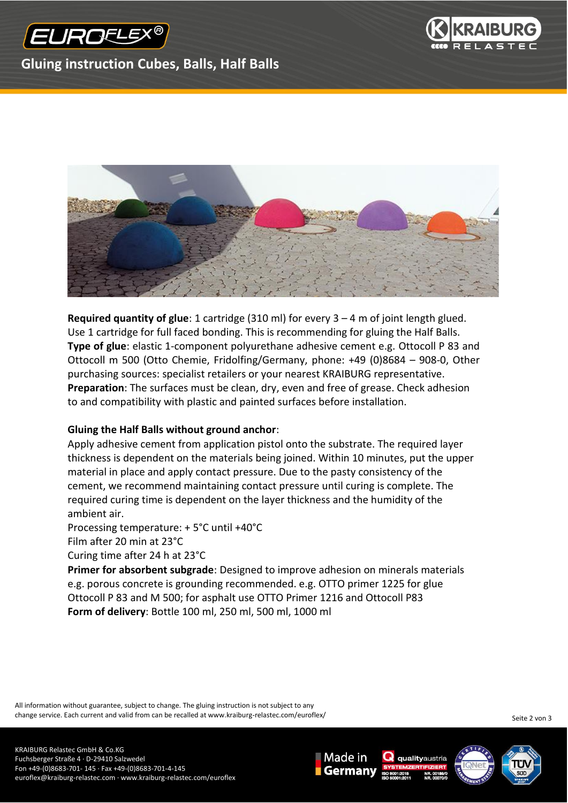



## **Gluing instruction Cubes, Balls, Half Balls**



**Required quantity of glue**: 1 cartridge (310 ml) for every 3 – 4 m of joint length glued. Use 1 cartridge for full faced bonding. This is recommending for gluing the Half Balls. **Type of glue**: elastic 1-component polyurethane adhesive cement e.g. Ottocoll P 83 and Ottocoll m 500 (Otto Chemie, Fridolfing/Germany, phone: +49 (0)8684 – 908-0, Other purchasing sources: specialist retailers or your nearest KRAIBURG representative. **Preparation**: The surfaces must be clean, dry, even and free of grease. Check adhesion to and compatibility with plastic and painted surfaces before installation.

## **Gluing the Half Balls without ground anchor**:

Apply adhesive cement from application pistol onto the substrate. The required layer thickness is dependent on the materials being joined. Within 10 minutes, put the upper material in place and apply contact pressure. Due to the pasty consistency of the cement, we recommend maintaining contact pressure until curing is complete. The required curing time is dependent on the layer thickness and the humidity of the ambient air.

Processing temperature: + 5°C until +40°C

Film after 20 min at 23°C

Curing time after 24 h at 23°C

**Primer for absorbent subgrade**: Designed to improve adhesion on minerals materials e.g. porous concrete is grounding recommended. e.g. OTTO primer 1225 for glue Ottocoll P 83 and M 500; for asphalt use OTTO Primer 1216 and Ottocoll P83 **Form of delivery**: Bottle 100 ml, 250 ml, 500 ml, 1000 ml

All information without guarantee, subject to change. The gluing instruction is not subject to any change service. Each current and valid from can be recalled at www.kraiburg-relastec.com/euroflex/